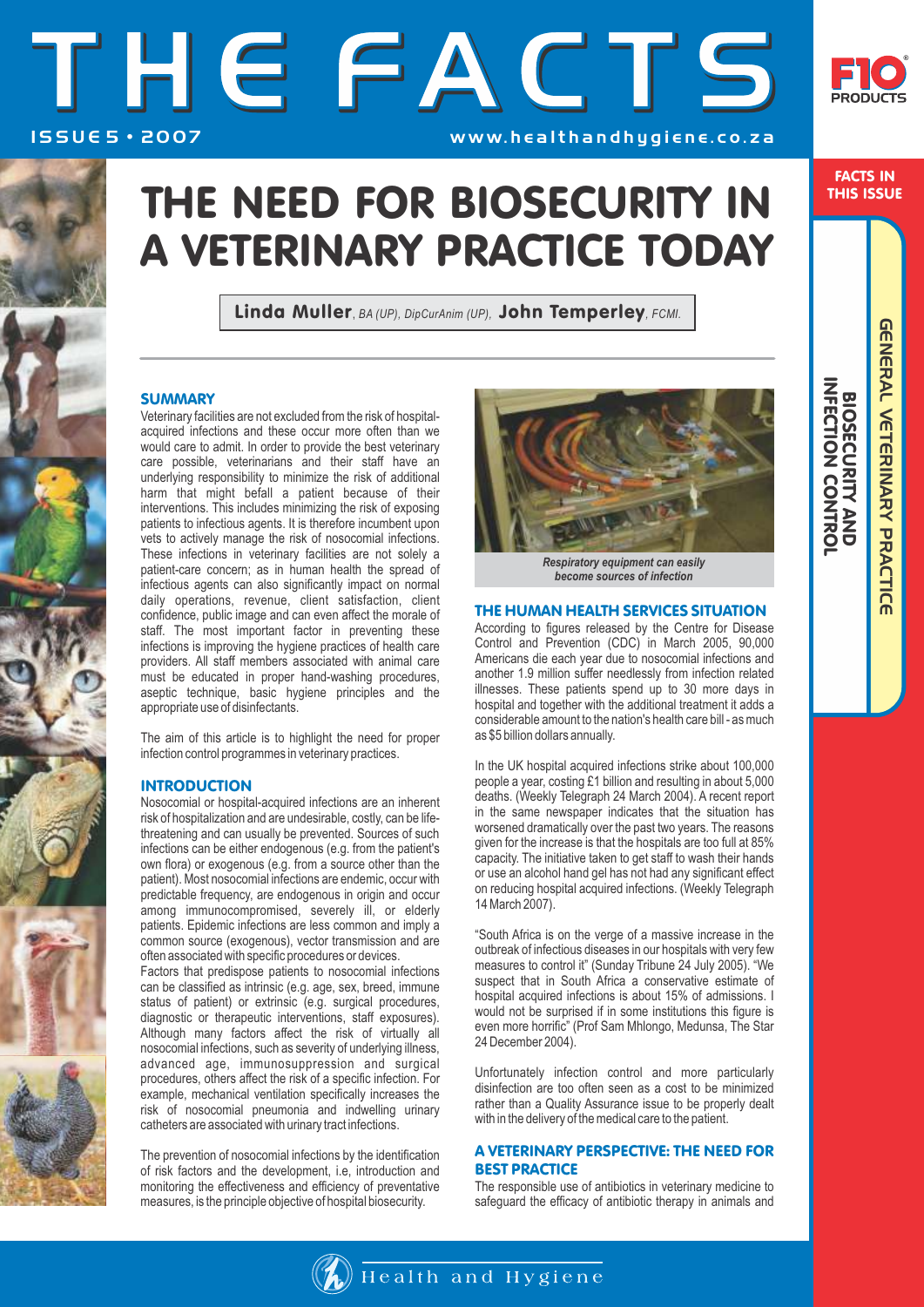# THE FACTS ISSUE 5 · 2007 WWW.healthandhygiene.co.za



FACTS IN THIS ISSUE

 BIOSECURITY AND INFECTION CONTROL

**SHIPSECION<br>
NECIDION<br>
NECIDION<br>
NECIDION<br>
NECIDION<br>
NECIDION<br>
NECIDION<br>
NECIDION<br>
NECIDION<br>
NECIDION** 

GENERAL VETERINARY PRACTICE

**GENERAL VETERINARY PRACTICE** 

## THE NEED FOR BIOSECURITY IN A VETERINARY PRACTICE TODAY

Linda Muller, *BA (UP), DipCurAnim (UP),* John Temperley*, FCMI.*

## **SUMMARY**

Veterinary facilities are not excluded from the risk of hospitalacquired infections and these occur more often than we would care to admit. In order to provide the best veterinary care possible, veterinarians and their staff have an underlying responsibility to minimize the risk of additional harm that might befall a patient because of their interventions. This includes minimizing the risk of exposing patients to infectious agents. It is therefore incumbent upon vets to actively manage the risk of nosocomial infections. These infections in veterinary facilities are not solely a patient-care concern; as in human health the spread of infectious agents can also significantly impact on normal daily operations, revenue, client satisfaction, client confidence, public image and can even affect the morale of staff. The most important factor in preventing these infections is improving the hygiene practices of health care providers. All staff members associated with animal care must be educated in proper hand-washing procedures, aseptic technique, basic hygiene principles and the appropriate use of disinfectants.

The aim of this article is to highlight the need for proper infection control programmes in veterinary practices.

## **INTRODUCTION**

Nosocomial or hospital-acquired infections are an inherent risk of hospitalization and are undesirable, costly, can be lifethreatening and can usually be prevented. Sources of such infections can be either endogenous (e.g. from the patient's own flora) or exogenous (e.g. from a source other than the patient). Most nosocomial infections are endemic, occur with predictable frequency, are endogenous in origin and occur among immunocompromised, severely ill, or elderly patients. Epidemic infections are less common and imply a common source (exogenous), vector transmission and are often associated with specific procedures or devices.

Factors that predispose patients to nosocomial infections can be classified as intrinsic (e.g. age, sex, breed, immune status of patient) or extrinsic (e.g. surgical procedures, diagnostic or therapeutic interventions, staff exposures). Although many factors affect the risk of virtually all nosocomial infections, such as severity of underlying illness, advanced age, immunosuppression and surgical procedures, others affect the risk of a specific infection. For example, mechanical ventilation specifically increases the risk of nosocomial pneumonia and indwelling urinary catheters are associated with urinary tract infections.

The prevention of nosocomial infections by the identification of risk factors and the development, i.e, introduction and monitoring the effectiveness and efficiency of preventative measures, is the principle objective of hospital biosecurity.



*Respiratory equipment can easily become sources of infection*

#### THE HUMAN HEALTH SERVICES SITUATION

According to figures released by the Centre for Disease Control and Prevention (CDC) in March 2005, 90,000 Americans die each year due to nosocomial infections and another 1.9 million suffer needlessly from infection related illnesses. These patients spend up to 30 more days in hospital and together with the additional treatment it adds a considerable amount to the nation's health care bill - as much as \$5 billion dollars annually.

In the UK hospital acquired infections strike about 100,000 people a year, costing £1 billion and resulting in about 5,000 deaths. (Weekly Telegraph 24 March 2004). A recent report in the same newspaper indicates that the situation has worsened dramatically over the past two years. The reasons given for the increase is that the hospitals are too full at 85% capacity. The initiative taken to get staff to wash their hands or use an alcohol hand gel has not had any significant effect on reducing hospital acquired infections. (Weekly Telegraph 14 March 2007).

"South Africa is on the verge of a massive increase in the outbreak of infectious diseases in our hospitals with very few measures to control it" (Sunday Tribune 24 July 2005). "We suspect that in South Africa a conservative estimate of hospital acquired infections is about 15% of admissions. I would not be surprised if in some institutions this figure is even more horrific" (Prof Sam Mhlongo, Medunsa, The Star 24 December 2004).

Unfortunately infection control and more particularly disinfection are too often seen as a cost to be minimized rather than a Quality Assurance issue to be properly dealt with in the delivery of the medical care to the patient.

### A VETERINARY PERSPECTIVE: THE NEED FOR BEST PRACTICE

The responsible use of antibiotics in veterinary medicine to safeguard the efficacy of antibiotic therapy in animals and

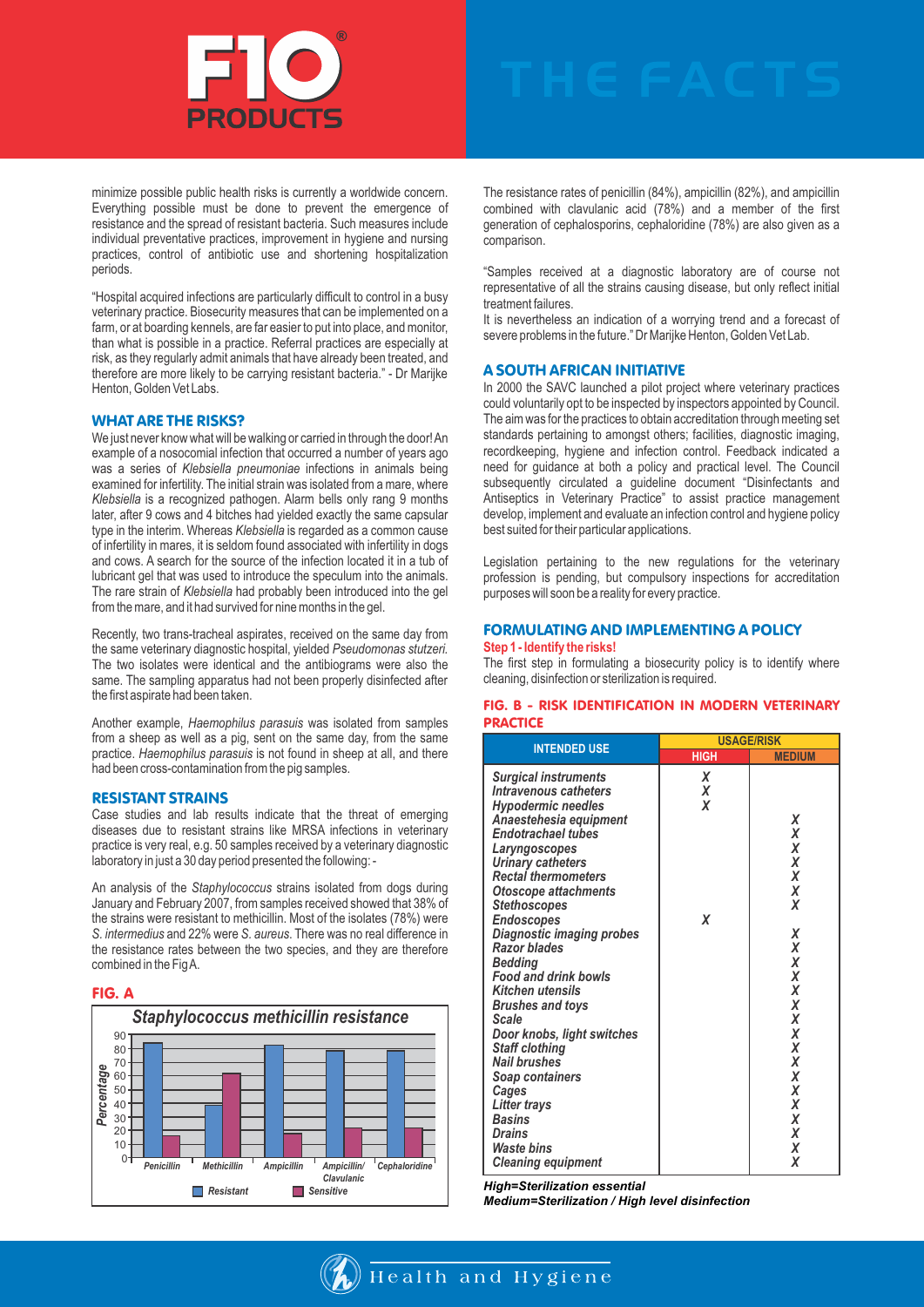

minimize possible public health risks is currently a worldwide concern. Everything possible must be done to prevent the emergence of resistance and the spread of resistant bacteria. Such measures include individual preventative practices, improvement in hygiene and nursing practices, control of antibiotic use and shortening hospitalization periods.

"Hospital acquired infections are particularly difficult to control in a busy veterinary practice. Biosecurity measures that can be implemented on a farm, or at boarding kennels, are far easier to put into place, and monitor, than what is possible in a practice. Referral practices are especially at risk, as they regularly admit animals that have already been treated, and therefore are more likely to be carrying resistant bacteria." - Dr Marijke Henton, Golden Vet Labs.

#### WHAT ARE THE RISKS?

We just never know what will be walking or carried in through the door! An example of a nosocomial infection that occurred a number of years ago was a series of *Klebsiella pneumoniae* infections in animals being examined for infertility. The initial strain was isolated from a mare, where *Klebsiella* is a recognized pathogen. Alarm bells only rang 9 months later, after 9 cows and 4 bitches had yielded exactly the same capsular type in the interim. Whereas *Klebsiella* is regarded as a common cause of infertility in mares, it is seldom found associated with infertility in dogs and cows. A search for the source of the infection located it in a tub of lubricant gel that was used to introduce the speculum into the animals. The rare strain of *Klebsiella* had probably been introduced into the gel from the mare, and it had survived for nine months in the gel.

Recently, two trans-tracheal aspirates, received on the same day from the same veterinary diagnostic hospital, yielded *Pseudomonas stutzeri.* The two isolates were identical and the antibiograms were also the same. The sampling apparatus had not been properly disinfected after the first aspirate had been taken.

Another example, *Haemophilus parasuis* was isolated from samples from a sheep as well as a pig, sent on the same day, from the same practice. *Haemophilus parasuis* is not found in sheep at all, and there had been cross-contamination from the pig samples.

#### RESISTANT STRAINS

Case studies and lab results indicate that the threat of emerging diseases due to resistant strains like MRSA infections in veterinary practice is very real, e.g. 50 samples received by a veterinary diagnostic laboratory in just a 30 day period presented the following: -

An analysis of the *Staphylococcus* strains isolated from dogs during January and February 2007, from samples received showed that 38% of the strains were resistant to methicillin. Most of the isolates (78%) were *S. intermedius* and 22% were *S. aureus*. There was no real difference in the resistance rates between the two species, and they are therefore combined in the Fig A.





The resistance rates of penicillin (84%), ampicillin (82%), and ampicillin combined with clavulanic acid (78%) and a member of the first generation of cephalosporins, cephaloridine (78%) are also given as a comparison.

"Samples received at a diagnostic laboratory are of course not representative of all the strains causing disease, but only reflect initial treatment failures.

It is nevertheless an indication of a worrying trend and a forecast of severe problems in the future." Dr Marijke Henton, Golden Vet Lab.

#### A SOUTH AFRICAN INITIATIVE

In 2000 the SAVC launched a pilot project where veterinary practices could voluntarily opt to be inspected by inspectors appointed by Council. The aim was for the practices to obtain accreditation through meeting set standards pertaining to amongst others; facilities, diagnostic imaging, recordkeeping, hygiene and infection control. Feedback indicated a need for guidance at both a policy and practical level. The Council subsequently circulated a guideline document "Disinfectants and Antiseptics in Veterinary Practice" to assist practice management develop, implement and evaluate an infection control and hygiene policy best suited for their particular applications.

Legislation pertaining to the new regulations for the veterinary profession is pending, but compulsory inspections for accreditation purposes will soon be a reality for every practice.

#### FORMULATING AND IMPLEMENTING A POLICY **Step 1 - Identify the risks!**

The first step in formulating a biosecurity policy is to identify where cleaning, disinfection or sterilization is required.

#### FIG. B - RISK IDENTIFICATION IN MODERN VETERINARY **PRACTICE**

| <b>INTENDED USE</b>                                                                                         |                  | <b>USAGE/RISK</b> |
|-------------------------------------------------------------------------------------------------------------|------------------|-------------------|
|                                                                                                             | <b>HIGH</b>      | <b>MEDIUM</b>     |
| <b>Surgical instruments</b><br>Intravenous catheters<br><b>Hypodermic needles</b><br>Anaestehesia equipment | X<br>X<br>X      | X                 |
| <b>Endotrachael tubes</b><br>Laryngoscopes<br>Urinary catheters                                             |                  | X<br>X<br>X       |
| <b>Rectal thermometers</b><br><b>Otoscope attachments</b><br><b>Stethoscopes</b><br><b>Endoscopes</b>       | $\boldsymbol{x}$ | X<br>X<br>X       |
| Diagnostic imaging probes<br><b>Razor blades</b><br><b>Bedding</b>                                          |                  | X<br>X<br>X       |
| <b>Food and drink bowls</b><br><b>Kitchen utensils</b><br><b>Brushes and toys</b>                           |                  | X<br>X<br>X       |
| Scale<br>Door knobs, light switches<br><b>Staff clothing</b><br><b>Nail brushes</b>                         |                  | X<br>X<br>X<br>X  |
| Soap containers<br>Cages<br>Litter trays                                                                    |                  | X<br>X<br>X       |
| <b>Basins</b><br><b>Drains</b><br><b>Waste bins</b>                                                         |                  | X<br>X<br>X       |
| <b>Cleaning equipment</b>                                                                                   |                  | X                 |

*High = Sterilization essential*

*Medium = Sterilization / High level disinfection*

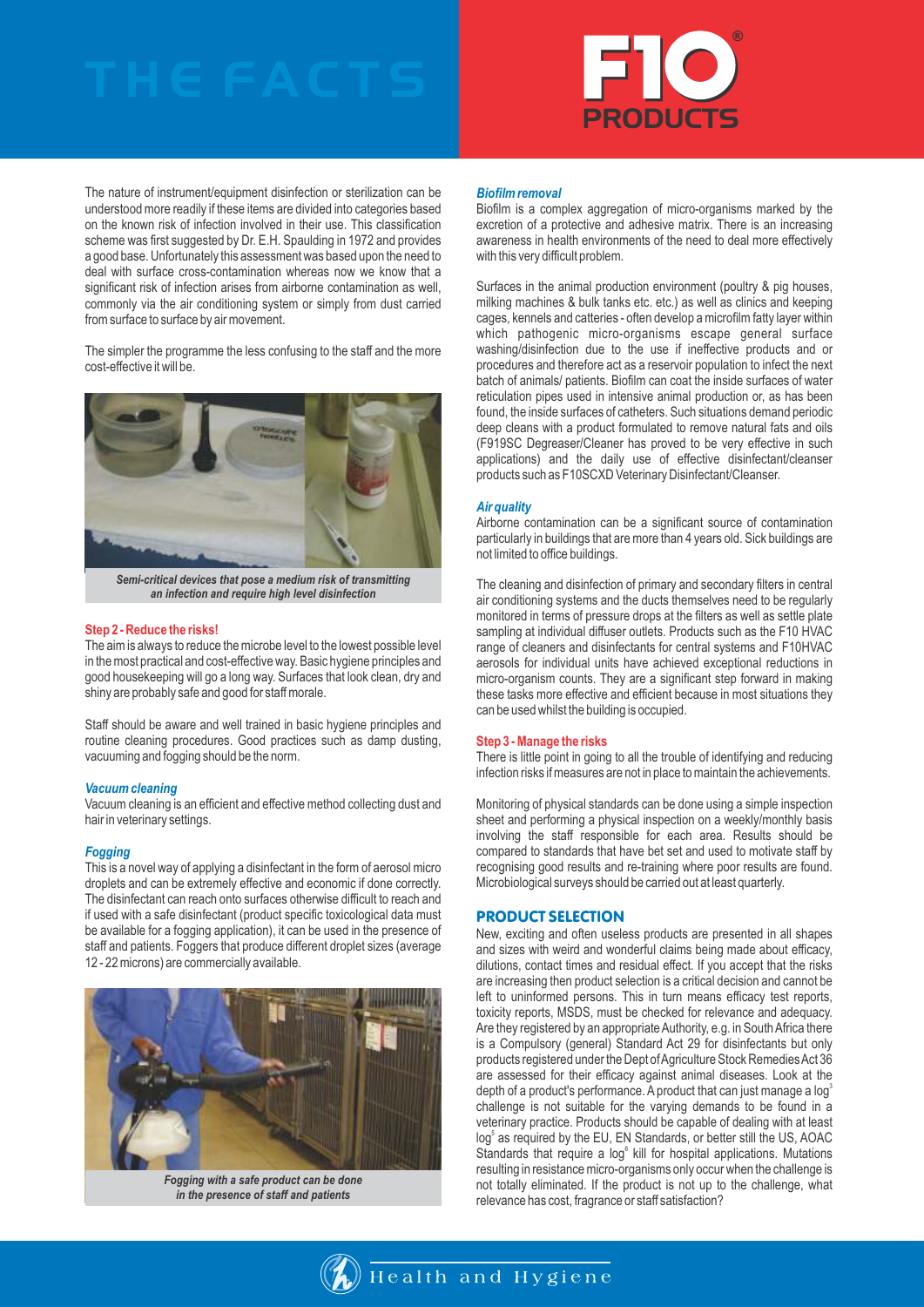

The nature of instrument/equipment disinfection or sterilization can be understood more readily if these items are divided into categories based on the known risk of infection involved in their use. This classification scheme was first suggested by Dr. E.H. Spaulding in 1972 and provides a good base. Unfortunately this assessment was based upon the need to deal with surface cross-contamination whereas now we know that a significant risk of infection arises from airborne contamination as well, commonly via the air conditioning system or simply from dust carried from surface to surface by air movement.

The simpler the programme the less confusing to the staff and the more cost-effective it will be.



*Semi-critical devices that pose a medium risk of transmitting an infection and require high level disinfection*

#### **Step 2 - Reduce the risks!**

The aim is always to reduce the microbe level to the lowest possible level in the most practical and cost-effective way. Basic hygiene principles and good housekeeping will go a long way. Surfaces that look clean, dry and shiny are probably safe and good for staff morale.

Staff should be aware and well trained in basic hygiene principles and routine cleaning procedures. Good practices such as damp dusting, vacuuming and fogging should be the norm.

#### *Vacuum cleaning*

Vacuum cleaning is an efficient and effective method collecting dust and hair in veterinary settings.

#### *Fogging*

This is a novel way of applying a disinfectant in the form of aerosol micro droplets and can be extremely effective and economic if done correctly. The disinfectant can reach onto surfaces otherwise difficult to reach and if used with a safe disinfectant (product specific toxicological data must be available for a fogging application), it can be used in the presence of staff and patients. Foggers that produce different droplet sizes (average 12 - 22 microns) are commercially available.



*Fogging with a safe product can be done in the presence of staff and patients*

#### *Biofilm removal*

Biofilm is a complex aggregation of micro-organisms marked by the excretion of a protective and adhesive matrix. There is an increasing awareness in health environments of the need to deal more effectively with this very difficult problem.

Surfaces in the animal production environment (poultry & pig houses, milking machines & bulk tanks etc. etc.) as well as clinics and keeping cages, kennels and catteries - often develop a microfilm fatty layer within which pathogenic micro-organisms escape general surface washing/disinfection due to the use if ineffective products and or procedures and therefore act as a reservoir population to infect the next batch of animals/ patients. Biofilm can coat the inside surfaces of water reticulation pipes used in intensive animal production or, as has been found, the inside surfaces of catheters. Such situations demand periodic deep cleans with a product formulated to remove natural fats and oils (F919SC Degreaser/Cleaner has proved to be very effective in such applications) and the daily use of effective disinfectant/cleanser products such as F10SCXD Veterinary Disinfectant/Cleanser.

#### *Air quality*

Airborne contamination can be a significant source of contamination particularly in buildings that are more than 4 years old. Sick buildings are not limited to office buildings.

The cleaning and disinfection of primary and secondary filters in central air conditioning systems and the ducts themselves need to be regularly monitored in terms of pressure drops at the filters as well as settle plate sampling at individual diffuser outlets. Products such as the F10 HVAC range of cleaners and disinfectants for central systems and F10HVAC aerosols for individual units have achieved exceptional reductions in micro-organism counts. They are a significant step forward in making these tasks more effective and efficient because in most situations they can be used whilst the building is occupied.

#### **Step 3 - Manage the risks**

There is little point in going to all the trouble of identifying and reducing infection risks if measures are not in place to maintain the achievements.

Monitoring of physical standards can be done using a simple inspection sheet and performing a physical inspection on a weekly/monthly basis involving the staff responsible for each area. Results should be compared to standards that have bet set and used to motivate staff by recognising good results and re-training where poor results are found. Microbiological surveys should be carried out at least quarterly.

#### PRODUCT SELECTION

New, exciting and often useless products are presented in all shapes and sizes with weird and wonderful claims being made about efficacy, dilutions, contact times and residual effect. If you accept that the risks are increasing then product selection is a critical decision and cannot be left to uninformed persons. This in turn means efficacy test reports, toxicity reports, MSDS, must be checked for relevance and adequacy. Are they registered by an appropriate Authority, e.g. in South Africa there is a Compulsory (general) Standard Act 29 for disinfectants but only products registered under the Dept of Agriculture Stock Remedies Act 36 are assessed for their efficacy against animal diseases. Look at the depth of a product's performance. A product that can just manage a log<sup>5</sup> challenge is not suitable for the varying demands to be found in a veterinary practice. Products should be capable of dealing with at least log<sup>5</sup> as required by the EU, EN Standards, or better still the US, AOAC Standards that require a log<sup>6</sup> kill for hospital applications. Mutations resulting in resistance micro-organisms only occur when the challenge is not totally eliminated. If the product is not up to the challenge, what relevance has cost, fragrance or staff satisfaction?